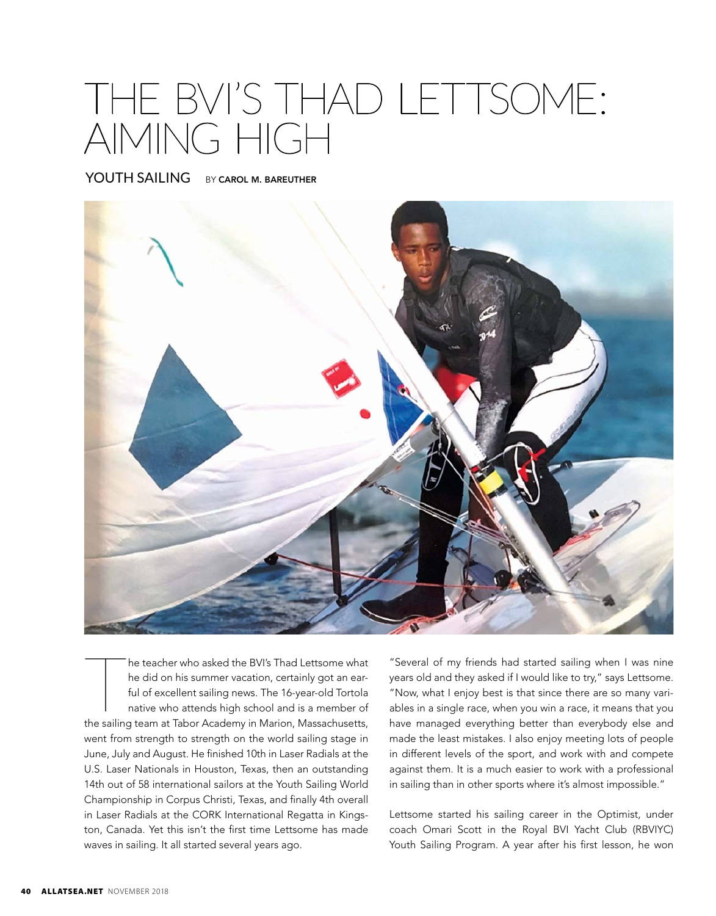## THE BVI'S THAD LETTSOME: AIMING HIGH

YOUTH SAILING BY CAROL M. BAREUTHER



The teacher who asked the BVI's Thad Lettsome what<br>the did on his summer vacation, certainly got an ear-<br>ful of excellent sailing news. The 16-year-old Tortola<br>native who attends high school and is a member of<br>the sailing he teacher who asked the BVI's Thad Lettsome what he did on his summer vacation, certainly got an earful of excellent sailing news. The 16-year-old Tortola native who attends high school and is a member of went from strength to strength on the world sailing stage in June, July and August. He finished 10th in Laser Radials at the U.S. Laser Nationals in Houston, Texas, then an outstanding 14th out of 58 international sailors at the Youth Sailing World Championship in Corpus Christi, Texas, and finally 4th overall in Laser Radials at the CORK International Regatta in Kingston, Canada. Yet this isn't the first time Lettsome has made waves in sailing. It all started several years ago.

"Several of my friends had started sailing when I was nine years old and they asked if I would like to try," says Lettsome. "Now, what I enjoy best is that since there are so many variables in a single race, when you win a race, it means that you have managed everything better than everybody else and made the least mistakes. I also enjoy meeting lots of people in different levels of the sport, and work with and compete against them. It is a much easier to work with a professional in sailing than in other sports where it's almost impossible."

Lettsome started his sailing career in the Optimist, under coach Omari Scott in the Royal BVI Yacht Club (RBVIYC) Youth Sailing Program. A year after his first lesson, he won